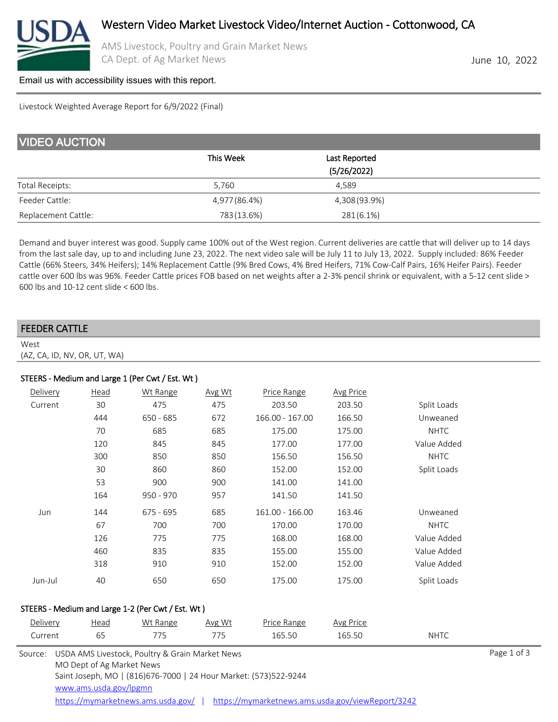

AMS Livestock, Poultry and Grain Market News CA Dept. of Ag Market News **June 10, 2022** 

### [Email us with accessibility issues with this report.](mailto:mars@ams.usda.gov?subjectNot%20able%20to%20access%20video%20auction%20report)

Livestock Weighted Average Report for 6/9/2022 (Final)

| <b>VIDEO AUCTION</b> |               |                              |  |
|----------------------|---------------|------------------------------|--|
|                      | This Week     | Last Reported<br>(5/26/2022) |  |
| Total Receipts:      | 5.760         | 4.589                        |  |
| Feeder Cattle:       | 4,977 (86.4%) | 4,308 (93.9%)                |  |
| Replacement Cattle:  | 783 (13.6%)   | $281(6.1\%)$                 |  |

Demand and buyer interest was good. Supply came 100% out of the West region. Current deliveries are cattle that will deliver up to 14 days from the last sale day, up to and including June 23, 2022. The next video sale will be July 11 to July 13, 2022. Supply included: 86% Feeder Cattle (66% Steers, 34% Heifers); 14% Replacement Cattle (9% Bred Cows, 4% Bred Heifers, 71% Cow-Calf Pairs, 16% Heifer Pairs). Feeder cattle over 600 lbs was 96%. Feeder Cattle prices FOB based on net weights after a 2-3% pencil shrink or equivalent, with a 5-12 cent slide > 600 lbs and 10-12 cent slide < 600 lbs.

| <b>FEEDER CATTLE</b>         |  |
|------------------------------|--|
| West                         |  |
| (AZ, CA, ID, NV, OR, UT, WA) |  |

### STEERS - Medium and Large 1 (Per Cwt / Est. Wt )

| Delivery | Head | Wt Range    | Avg Wt | Price Range     | <b>Avg Price</b> |             |
|----------|------|-------------|--------|-----------------|------------------|-------------|
| Current  | 30   | 475         | 475    | 203.50          | 203.50           | Split Loads |
|          | 444  | $650 - 685$ | 672    | 166.00 - 167.00 | 166.50           | Unweaned    |
|          | 70   | 685         | 685    | 175.00          | 175.00           | <b>NHTC</b> |
|          | 120  | 845         | 845    | 177.00          | 177.00           | Value Added |
|          | 300  | 850         | 850    | 156.50          | 156.50           | <b>NHTC</b> |
|          | 30   | 860         | 860    | 152.00          | 152.00           | Split Loads |
|          | 53   | 900         | 900    | 141.00          | 141.00           |             |
|          | 164  | $950 - 970$ | 957    | 141.50          | 141.50           |             |
| Jun      | 144  | $675 - 695$ | 685    | 161.00 - 166.00 | 163.46           | Unweaned    |
|          | 67   | 700         | 700    | 170.00          | 170.00           | <b>NHTC</b> |
|          | 126  | 775         | 775    | 168.00          | 168.00           | Value Added |
|          | 460  | 835         | 835    | 155.00          | 155.00           | Value Added |
|          | 318  | 910         | 910    | 152.00          | 152.00           | Value Added |
| Jun-Jul  | 40   | 650         | 650    | 175.00          | 175.00           | Split Loads |

#### STEERS - Medium and Large 1-2 (Per Cwt / Est. Wt )

| Delivery<br>Current | Head<br>65                                          | Wt Range<br>775                                                                                                                                           | Avg Wt<br>775 | Price Range<br>165.50                             | Avg Price<br>165.50 | <b>NHTC</b> |             |
|---------------------|-----------------------------------------------------|-----------------------------------------------------------------------------------------------------------------------------------------------------------|---------------|---------------------------------------------------|---------------------|-------------|-------------|
| Source:             | MO Dept of Ag Market News<br>www.ams.usda.gov/lpgmn | USDA AMS Livestock, Poultry & Grain Market News<br>Saint Joseph, MO   (816)676-7000   24 Hour Market: (573)522-9244<br>https://mymarketnews.ams.usda.gov/ |               | https://mymarketnews.ams.usda.gov/viewReport/3242 |                     |             | Page 1 of 3 |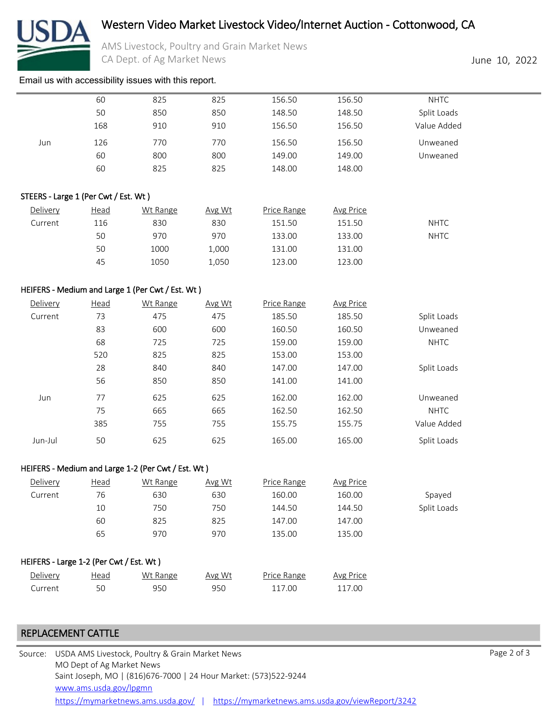

# Western Video Market Livestock Video/Internet Auction - Cottonwood, CA

AMS Livestock, Poultry and Grain Market News CA Dept. of Ag Market News **June 10, 2022** 

[Email us with accessibility issues with this report.](mailto:mars@ams.usda.gov?subjectNot%20able%20to%20access%20video%20auction%20report)

|                                      | 60          | 825                                                | 825    | 156.50      | 156.50           | <b>NHTC</b> |  |
|--------------------------------------|-------------|----------------------------------------------------|--------|-------------|------------------|-------------|--|
|                                      | 50          | 850                                                | 850    | 148.50      | 148.50           | Split Loads |  |
|                                      | 168         | 910                                                | 910    | 156.50      | 156.50           | Value Added |  |
| Jun                                  | 126         | 770                                                | 770    | 156.50      | 156.50           | Unweaned    |  |
|                                      | 60          | 800                                                | 800    | 149.00      | 149.00           | Unweaned    |  |
|                                      | 60          | 825                                                | 825    | 148.00      | 148.00           |             |  |
| STEERS - Large 1 (Per Cwt / Est. Wt) |             |                                                    |        |             |                  |             |  |
| Delivery                             | <b>Head</b> | Wt Range                                           | Avg Wt | Price Range | <b>Avg Price</b> |             |  |
| Current                              | 116         | 830                                                | 830    | 151.50      | 151.50           | <b>NHTC</b> |  |
|                                      | 50          | 970                                                | 970    | 133.00      | 133.00           | <b>NHTC</b> |  |
|                                      | 50          | 1000                                               | 1,000  | 131.00      | 131.00           |             |  |
|                                      | 45          | 1050                                               | 1,050  | 123.00      | 123.00           |             |  |
|                                      |             | HEIFERS - Medium and Large 1 (Per Cwt / Est. Wt)   |        |             |                  |             |  |
| Delivery                             | <b>Head</b> | Wt Range                                           | Avg Wt | Price Range | <b>Avg Price</b> |             |  |
| Current                              | 73          | 475                                                | 475    | 185.50      | 185.50           | Split Loads |  |
|                                      | 83          | 600                                                | 600    | 160.50      | 160.50           | Unweaned    |  |
|                                      | 68          | 725                                                | 725    | 159.00      | 159.00           | <b>NHTC</b> |  |
|                                      | 520         | 825                                                | 825    | 153.00      | 153.00           |             |  |
|                                      | 28          | 840                                                | 840    | 147.00      | 147.00           | Split Loads |  |
|                                      | 56          | 850                                                | 850    | 141.00      | 141.00           |             |  |
| Jun                                  | 77          | 625                                                | 625    | 162.00      | 162.00           | Unweaned    |  |
|                                      | 75          | 665                                                | 665    | 162.50      | 162.50           | <b>NHTC</b> |  |
|                                      | 385         | 755                                                | 755    | 155.75      | 155.75           | Value Added |  |
| Jun-Jul                              | 50          | 625                                                | 625    | 165.00      | 165.00           | Split Loads |  |
|                                      |             | HEIFERS - Medium and Large 1-2 (Per Cwt / Est. Wt) |        |             |                  |             |  |
| Delivery                             | Head        | Wt Range                                           | Avg Wt | Price Range | <b>Avg Price</b> |             |  |
| Current                              | 76          | 630                                                | 630    | 160.00      | 160.00           | Spayed      |  |
|                                      | 10          | 750                                                | 750    | 144.50      | 144.50           | Split Loads |  |
|                                      | 60          | 825                                                | 825    | 147.00      | 147.00           |             |  |

## HEIFERS - Large 1-2 (Per Cwt / Est. Wt )

| Delivery | Head | Wt Range | Avg Wt | Price Range | Avg Price |
|----------|------|----------|--------|-------------|-----------|
| Current  |      | 950      | 950    | 117.00      | 117.00    |

# REPLACEMENT CATTLE

| Source: USDA AMS Livestock, Poultry & Grain Market News                                 | Page 2 of 3 |
|-----------------------------------------------------------------------------------------|-------------|
| MO Dept of Ag Market News                                                               |             |
| Saint Joseph, MO   (816)676-7000   24 Hour Market: (573)522-9244                        |             |
| www.ams.usda.gov/lpgmn                                                                  |             |
| https://mymarketnews.ams.usda.gov/viewReport/3242<br>https://mymarketnews.ams.usda.gov/ |             |

65 970 970 135.00 135.00